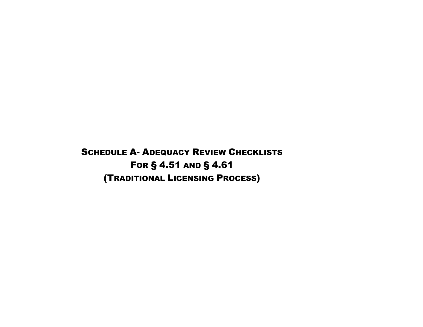SCHEDULE A- ADEQUACY REVIEW CHECKLISTS FOR § 4.51 AND § 4.61 (TRADITIONAL LICENSING PROCESS)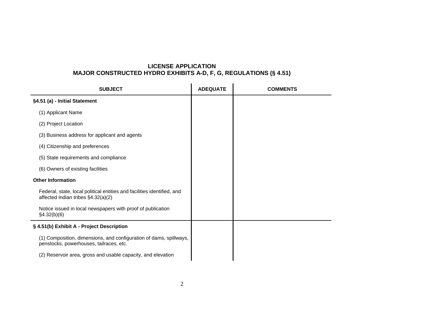# **LICENSE APPLICATION MAJOR CONSTRUCTED HYDRO EXHIBITS A-D, F, G, REGULATIONS (§ 4.51)**

| <b>SUBJECT</b>                                                                                                | <b>ADEQUATE</b> | <b>COMMENTS</b> |
|---------------------------------------------------------------------------------------------------------------|-----------------|-----------------|
| §4.51 (a) - Initial Statement                                                                                 |                 |                 |
| (1) Applicant Name                                                                                            |                 |                 |
| (2) Project Location                                                                                          |                 |                 |
| (3) Business address for applicant and agents                                                                 |                 |                 |
| (4) Citizenship and preferences                                                                               |                 |                 |
| (5) State requirements and compliance                                                                         |                 |                 |
| (6) Owners of existing facilities                                                                             |                 |                 |
| <b>Other Information</b>                                                                                      |                 |                 |
| Federal, state, local political entities and facilities identified, and<br>affected Indian tribes §4.32(a)(2) |                 |                 |
| Notice issued in local newspapers with proof of publication<br>§4.32(b)(6)                                    |                 |                 |
| § 4.51(b) Exhibit A - Project Description                                                                     |                 |                 |
| (1) Composition, dimensions, and configuration of dams, spillways,<br>penstocks, powerhouses, tailraces, etc. |                 |                 |
| (2) Reservoir area, gross and usable capacity, and elevation                                                  |                 |                 |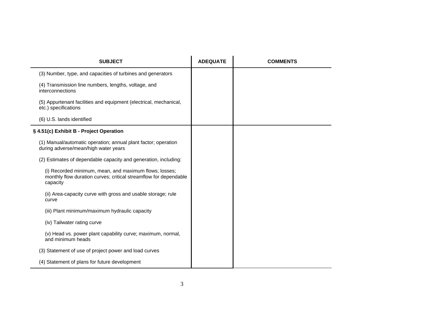| <b>SUBJECT</b>                                                                                                                         | <b>ADEQUATE</b> | <b>COMMENTS</b> |
|----------------------------------------------------------------------------------------------------------------------------------------|-----------------|-----------------|
| (3) Number, type, and capacities of turbines and generators                                                                            |                 |                 |
| (4) Transmission line numbers, lengths, voltage, and<br>interconnections                                                               |                 |                 |
| (5) Appurtenant facilities and equipment (electrical, mechanical,<br>etc.) specifications                                              |                 |                 |
| (6) U.S. lands identified                                                                                                              |                 |                 |
| § 4.51(c) Exhibit B - Project Operation                                                                                                |                 |                 |
| (1) Manual/automatic operation; annual plant factor; operation<br>during adverse/mean/high water years                                 |                 |                 |
| (2) Estimates of dependable capacity and generation, including:                                                                        |                 |                 |
| (i) Recorded minimum, mean, and maximum flows; losses;<br>monthly flow duration curves; critical streamflow for dependable<br>capacity |                 |                 |
| (ii) Area-capacity curve with gross and usable storage; rule<br>curve                                                                  |                 |                 |
| (iii) Plant minimum/maximum hydraulic capacity                                                                                         |                 |                 |
| (iv) Tailwater rating curve                                                                                                            |                 |                 |
| (v) Head vs. power plant capability curve; maximum, normal,<br>and minimum heads                                                       |                 |                 |
| (3) Statement of use of project power and load curves                                                                                  |                 |                 |
| (4) Statement of plans for future development                                                                                          |                 |                 |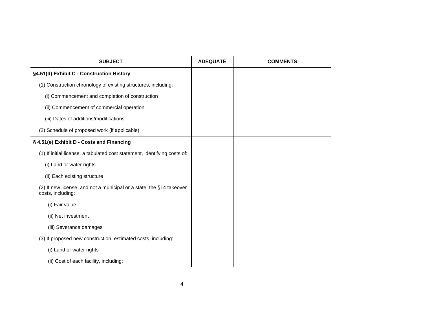| <b>SUBJECT</b>                                                                            | <b>ADEQUATE</b> | <b>COMMENTS</b> |
|-------------------------------------------------------------------------------------------|-----------------|-----------------|
| §4.51(d) Exhibit C - Construction History                                                 |                 |                 |
| (1) Construction chronology of existing structures, including:                            |                 |                 |
| (i) Commencement and completion of construction                                           |                 |                 |
| (ii) Commencement of commercial operation                                                 |                 |                 |
| (iii) Dates of additions/modifications                                                    |                 |                 |
| (2) Schedule of proposed work (if applicable)                                             |                 |                 |
| § 4.51(e) Exhibit D - Costs and Financing                                                 |                 |                 |
| (1) If initial license, a tabulated cost statement, identifying costs of:                 |                 |                 |
| (i) Land or water rights                                                                  |                 |                 |
| (ii) Each existing structure                                                              |                 |                 |
| (2) If new license, and not a municipal or a state, the §14 takeover<br>costs, including: |                 |                 |
| (i) Fair value                                                                            |                 |                 |
| (ii) Net investment                                                                       |                 |                 |
| (iii) Severance damages                                                                   |                 |                 |
| (3) If proposed new construction, estimated costs, including:                             |                 |                 |
| (i) Land or water rights                                                                  |                 |                 |
| (ii) Cost of each facility, including:                                                    |                 |                 |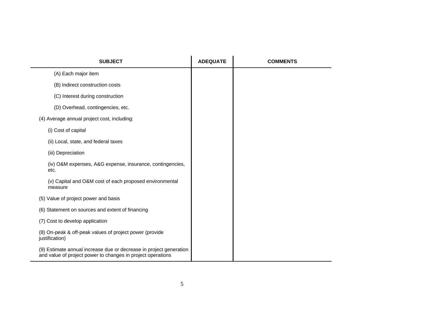| <b>SUBJECT</b>                                                                                                                    | <b>ADEQUATE</b> | <b>COMMENTS</b> |
|-----------------------------------------------------------------------------------------------------------------------------------|-----------------|-----------------|
| (A) Each major item                                                                                                               |                 |                 |
| (B) Indirect construction costs                                                                                                   |                 |                 |
| (C) Interest during construction                                                                                                  |                 |                 |
| (D) Overhead, contingencies, etc.                                                                                                 |                 |                 |
| (4) Average annual project cost, including:                                                                                       |                 |                 |
| (i) Cost of capital                                                                                                               |                 |                 |
| (ii) Local, state, and federal taxes                                                                                              |                 |                 |
| (iii) Depreciation                                                                                                                |                 |                 |
| (iv) O&M expenses, A&G expense, insurance, contingencies,<br>etc.                                                                 |                 |                 |
| (v) Capital and O&M cost of each proposed environmental<br>measure                                                                |                 |                 |
| (5) Value of project power and basis                                                                                              |                 |                 |
| (6) Statement on sources and extent of financing                                                                                  |                 |                 |
| (7) Cost to develop application                                                                                                   |                 |                 |
| (8) On-peak & off-peak values of project power (provide<br>justification)                                                         |                 |                 |
| (9) Estimate annual increase due or decrease in project generation<br>and value of project power to changes in project operations |                 |                 |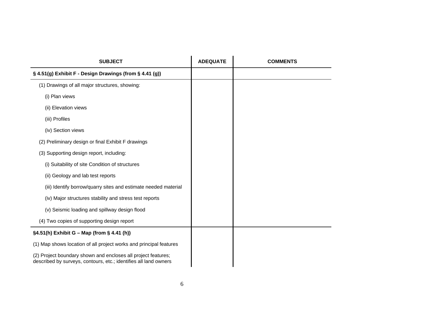| <b>SUBJECT</b>                                                                                                                    | <b>ADEQUATE</b> | <b>COMMENTS</b> |
|-----------------------------------------------------------------------------------------------------------------------------------|-----------------|-----------------|
| § 4.51(g) Exhibit F - Design Drawings (from § 4.41 (g))                                                                           |                 |                 |
| (1) Drawings of all major structures, showing:                                                                                    |                 |                 |
| (i) Plan views                                                                                                                    |                 |                 |
| (ii) Elevation views                                                                                                              |                 |                 |
| (iii) Profiles                                                                                                                    |                 |                 |
| (iv) Section views                                                                                                                |                 |                 |
| (2) Preliminary design or final Exhibit F drawings                                                                                |                 |                 |
| (3) Supporting design report, including:                                                                                          |                 |                 |
| (i) Suitability of site Condition of structures                                                                                   |                 |                 |
| (ii) Geology and lab test reports                                                                                                 |                 |                 |
| (iii) Identify borrow/quarry sites and estimate needed material                                                                   |                 |                 |
| (iv) Major structures stability and stress test reports                                                                           |                 |                 |
| (v) Seismic loading and spillway design flood                                                                                     |                 |                 |
| (4) Two copies of supporting design report                                                                                        |                 |                 |
| §4.51(h) Exhibit G - Map (from § 4.41 (h))                                                                                        |                 |                 |
| (1) Map shows location of all project works and principal features                                                                |                 |                 |
| (2) Project boundary shown and encloses all project features;<br>described by surveys, contours, etc.; identifies all land owners |                 |                 |
|                                                                                                                                   |                 |                 |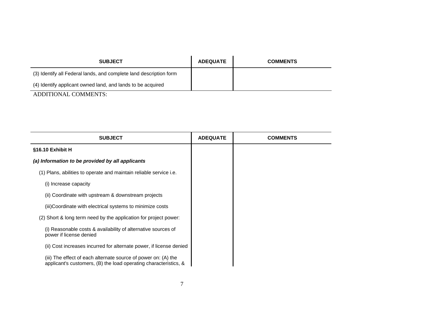| <b>SUBJECT</b>                                                     | <b>ADEQUATE</b> | <b>COMMENTS</b> |
|--------------------------------------------------------------------|-----------------|-----------------|
| (3) Identify all Federal lands, and complete land description form |                 |                 |
| (4) Identify applicant owned land, and lands to be acquired        |                 |                 |
| ADDITIONAL COMMENTS:                                               |                 |                 |

| <b>SUBJECT</b>                                                                                                                     | <b>ADEQUATE</b> | <b>COMMENTS</b> |
|------------------------------------------------------------------------------------------------------------------------------------|-----------------|-----------------|
| §16.10 Exhibit H                                                                                                                   |                 |                 |
| (a) Information to be provided by all applicants                                                                                   |                 |                 |
| (1) Plans, abilities to operate and maintain reliable service i.e.                                                                 |                 |                 |
| (i) Increase capacity                                                                                                              |                 |                 |
| (ii) Coordinate with upstream & downstream projects                                                                                |                 |                 |
| (iii)Coordinate with electrical systems to minimize costs                                                                          |                 |                 |
| (2) Short & long term need by the application for project power:                                                                   |                 |                 |
| (i) Reasonable costs & availability of alternative sources of<br>power if license denied                                           |                 |                 |
| (ii) Cost increases incurred for alternate power, if license denied                                                                |                 |                 |
| (iii) The effect of each alternate source of power on: (A) the<br>applicant's customers, (B) the load operating characteristics, & |                 |                 |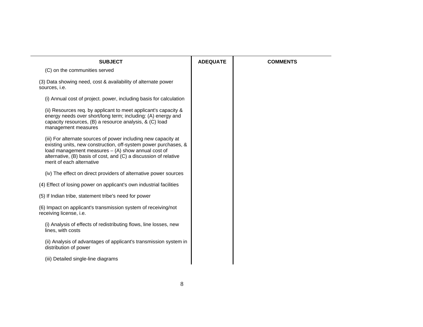| <b>SUBJECT</b>                                                                                                                                                                                                                                                                           | <b>ADEQUATE</b> | <b>COMMENTS</b> |
|------------------------------------------------------------------------------------------------------------------------------------------------------------------------------------------------------------------------------------------------------------------------------------------|-----------------|-----------------|
| (C) on the communities served                                                                                                                                                                                                                                                            |                 |                 |
| (3) Data showing need, cost & availability of alternate power<br>sources, i.e.                                                                                                                                                                                                           |                 |                 |
| (i) Annual cost of project. power, including basis for calculation                                                                                                                                                                                                                       |                 |                 |
| (ii) Resources req. by applicant to meet applicant's capacity &<br>energy needs over short/long term; including: (A) energy and<br>capacity resources, (B) a resource analysis, & (C) load<br>management measures                                                                        |                 |                 |
| (iii) For alternate sources of power including new capacity at<br>existing units, new construction, off-system power purchases, &<br>load management measures - (A) show annual cost of<br>alternative, (B) basis of cost, and (C) a discussion of relative<br>merit of each alternative |                 |                 |
| (iv) The effect on direct providers of alternative power sources                                                                                                                                                                                                                         |                 |                 |
| (4) Effect of losing power on applicant's own industrial facilities                                                                                                                                                                                                                      |                 |                 |
| (5) If Indian tribe, statement tribe's need for power                                                                                                                                                                                                                                    |                 |                 |
| (6) Impact on applicant's transmission system of receiving/not<br>receiving license, i.e.                                                                                                                                                                                                |                 |                 |
| (i) Analysis of effects of redistributing flows, line losses, new<br>lines, with costs                                                                                                                                                                                                   |                 |                 |
| (ii) Analysis of advantages of applicant's transmission system in<br>distribution of power                                                                                                                                                                                               |                 |                 |
| (iii) Detailed single-line diagrams                                                                                                                                                                                                                                                      |                 |                 |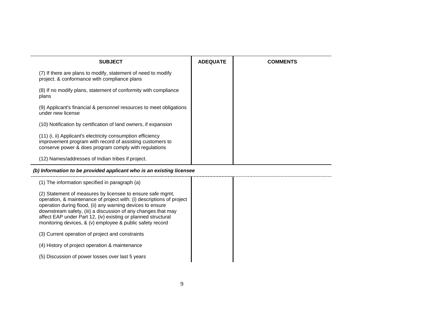| <b>SUBJECT</b>                                                                                                                                                                                                                                                                                                                                                                                   | <b>ADEQUATE</b> | <b>COMMENTS</b> |
|--------------------------------------------------------------------------------------------------------------------------------------------------------------------------------------------------------------------------------------------------------------------------------------------------------------------------------------------------------------------------------------------------|-----------------|-----------------|
| (7) If there are plans to modify, statement of need to modify<br>project. & conformance with compliance plans                                                                                                                                                                                                                                                                                    |                 |                 |
| (8) If no modify plans, statement of conformity with compliance<br>plans                                                                                                                                                                                                                                                                                                                         |                 |                 |
| (9) Applicant's financial & personnel resources to meet obligations<br>under new license                                                                                                                                                                                                                                                                                                         |                 |                 |
| (10) Notification by certification of land owners, if expansion                                                                                                                                                                                                                                                                                                                                  |                 |                 |
| (11) (i, ii) Applicant's electricity consumption efficiency<br>improvement program with record of assisting customers to<br>conserve power & does program comply with regulations                                                                                                                                                                                                                |                 |                 |
| (12) Names/addresses of Indian tribes if project.                                                                                                                                                                                                                                                                                                                                                |                 |                 |
| (b) Information to be provided applicant who is an existing licensee                                                                                                                                                                                                                                                                                                                             |                 |                 |
| (1) The information specified in paragraph (a)                                                                                                                                                                                                                                                                                                                                                   |                 |                 |
| (2) Statement of measures by licensee to ensure safe mgmt,<br>operation, & maintenance of project with: (i) descriptions of project<br>operation during flood, (ii) any warning devices to ensure<br>downstream safety, (iii) a discussion of any changes that may<br>affect EAP under Part 12, (iv) existing or planned structural<br>monitoring devices, & (v) employee & public safety record |                 |                 |
| (3) Current operation of project and constraints                                                                                                                                                                                                                                                                                                                                                 |                 |                 |
| (4) History of project operation & maintenance                                                                                                                                                                                                                                                                                                                                                   |                 |                 |
| (5) Discussion of power losses over last 5 years                                                                                                                                                                                                                                                                                                                                                 |                 |                 |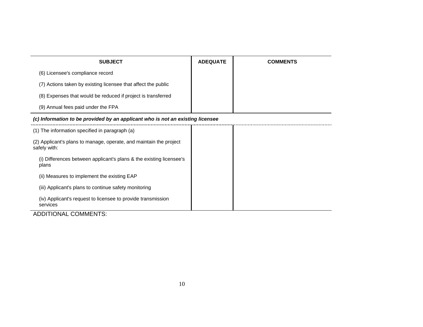| <b>SUBJECT</b>                                                                     | <b>ADEQUATE</b> | <b>COMMENTS</b> |
|------------------------------------------------------------------------------------|-----------------|-----------------|
| (6) Licensee's compliance record                                                   |                 |                 |
| (7) Actions taken by existing licensee that affect the public                      |                 |                 |
| (8) Expenses that would be reduced if project is transferred                       |                 |                 |
| (9) Annual fees paid under the FPA                                                 |                 |                 |
| (c) Information to be provided by an applicant who is not an existing licensee     |                 |                 |
| (1) The information specified in paragraph (a)                                     |                 |                 |
| (2) Applicant's plans to manage, operate, and maintain the project<br>safely with: |                 |                 |
| (i) Differences between applicant's plans & the existing licensee's<br>plans       |                 |                 |
| (ii) Measures to implement the existing EAP                                        |                 |                 |
| (iii) Applicant's plans to continue safety monitoring                              |                 |                 |
| (iv) Applicant's request to licensee to provide transmission<br>services           |                 |                 |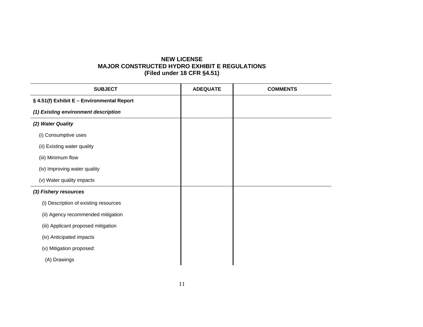## **NEW LICENSE MAJOR CONSTRUCTED HYDRO EXHIBIT E REGULATIONS (Filed under 18 CFR §4.51)**

| <b>SUBJECT</b>                             | <b>ADEQUATE</b> | <b>COMMENTS</b> |
|--------------------------------------------|-----------------|-----------------|
| § 4.51(f) Exhibit E - Environmental Report |                 |                 |
| (1) Existing environment description       |                 |                 |
| (2) Water Quality                          |                 |                 |
| (i) Consumptive uses                       |                 |                 |
| (ii) Existing water quality                |                 |                 |
| (iii) Minimum flow                         |                 |                 |
| (iv) Improving water quality               |                 |                 |
| (v) Water quality impacts                  |                 |                 |
| (3) Fishery resources                      |                 |                 |
| (i) Description of existing resources      |                 |                 |
| (ii) Agency recommended mitigation         |                 |                 |
| (iii) Applicant proposed mitigation        |                 |                 |
| (iv) Anticipated impacts                   |                 |                 |
| (v) Mitigation proposed:                   |                 |                 |
| (A) Drawings                               |                 |                 |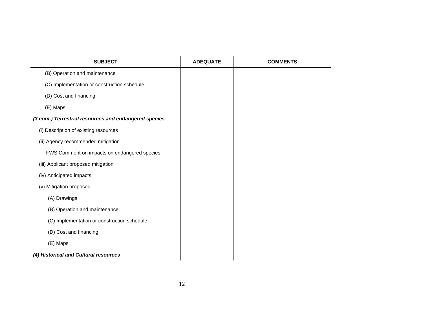| <b>SUBJECT</b>                                         | <b>ADEQUATE</b> | <b>COMMENTS</b> |
|--------------------------------------------------------|-----------------|-----------------|
| (B) Operation and maintenance                          |                 |                 |
| (C) Implementation or construction schedule            |                 |                 |
| (D) Cost and financing                                 |                 |                 |
| (E) Maps                                               |                 |                 |
| (3 cont.) Terrestrial resources and endangered species |                 |                 |
| (i) Description of existing resources                  |                 |                 |
| (ii) Agency recommended mitigation                     |                 |                 |
| FWS Comment on impacts on endangered species           |                 |                 |
| (iii) Applicant proposed mitigation                    |                 |                 |
| (iv) Anticipated impacts                               |                 |                 |
| (v) Mitigation proposed:                               |                 |                 |
| (A) Drawings                                           |                 |                 |
| (B) Operation and maintenance                          |                 |                 |
| (C) Implementation or construction schedule            |                 |                 |
| (D) Cost and financing                                 |                 |                 |
| (E) Maps                                               |                 |                 |
| (4) Historical and Cultural resources                  |                 |                 |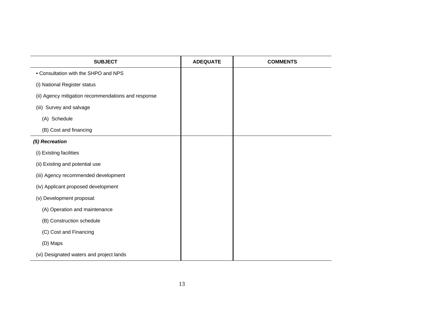| <b>SUBJECT</b>                                      | <b>ADEQUATE</b> | <b>COMMENTS</b> |
|-----------------------------------------------------|-----------------|-----------------|
| • Consultation with the SHPO and NPS                |                 |                 |
| (i) National Register status                        |                 |                 |
| (ii) Agency mitigation recommendations and response |                 |                 |
| (iii) Survey and salvage                            |                 |                 |
| (A) Schedule                                        |                 |                 |
| (B) Cost and financing                              |                 |                 |
| (5) Recreation                                      |                 |                 |
| (i) Existing facilities                             |                 |                 |
| (ii) Existing and potential use                     |                 |                 |
| (iii) Agency recommended development                |                 |                 |
| (iv) Applicant proposed development                 |                 |                 |
| (v) Development proposal:                           |                 |                 |
| (A) Operation and maintenance                       |                 |                 |
| (B) Construction schedule                           |                 |                 |
| (C) Cost and Financing                              |                 |                 |
| (D) Maps                                            |                 |                 |
| (vi) Designated waters and project lands            |                 |                 |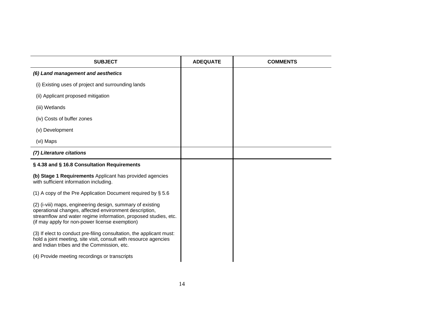| <b>SUBJECT</b>                                                                                                                                                                                                                            | <b>ADEQUATE</b> | <b>COMMENTS</b> |
|-------------------------------------------------------------------------------------------------------------------------------------------------------------------------------------------------------------------------------------------|-----------------|-----------------|
| (6) Land management and aesthetics                                                                                                                                                                                                        |                 |                 |
| (i) Existing uses of project and surrounding lands                                                                                                                                                                                        |                 |                 |
| (ii) Applicant proposed mitigation                                                                                                                                                                                                        |                 |                 |
| (iii) Wetlands                                                                                                                                                                                                                            |                 |                 |
| (iv) Costs of buffer zones                                                                                                                                                                                                                |                 |                 |
| (v) Development                                                                                                                                                                                                                           |                 |                 |
| (vi) Maps                                                                                                                                                                                                                                 |                 |                 |
| (7) Literature citations                                                                                                                                                                                                                  |                 |                 |
| § 4.38 and § 16.8 Consultation Requirements                                                                                                                                                                                               |                 |                 |
| (b) Stage 1 Requirements Applicant has provided agencies<br>with sufficient information including.                                                                                                                                        |                 |                 |
| (1) A copy of the Pre Application Document required by § 5.6                                                                                                                                                                              |                 |                 |
| (2) (i-viii) maps, engineering design, summary of existing<br>operational changes, affected environment description,<br>streamflow and water regime information, proposed studies, etc.<br>(if may apply for non-power license exemption) |                 |                 |
| (3) If elect to conduct pre-filing consultation, the applicant must:<br>hold a joint meeting, site visit, consult with resource agencies<br>and Indian tribes and the Commission, etc.                                                    |                 |                 |
| (4) Provide meeting recordings or transcripts                                                                                                                                                                                             |                 |                 |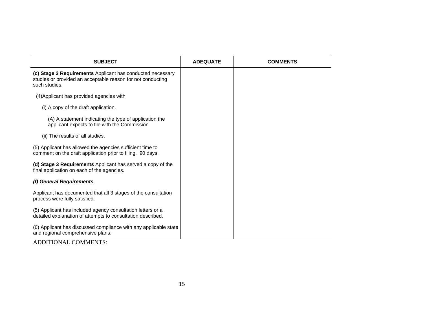| <b>SUBJECT</b>                                                                                                                             | <b>ADEQUATE</b> | <b>COMMENTS</b> |
|--------------------------------------------------------------------------------------------------------------------------------------------|-----------------|-----------------|
| (c) Stage 2 Requirements Applicant has conducted necessary<br>studies or provided an acceptable reason for not conducting<br>such studies. |                 |                 |
| (4) Applicant has provided agencies with:                                                                                                  |                 |                 |
| (i) A copy of the draft application.                                                                                                       |                 |                 |
| (A) A statement indicating the type of application the<br>applicant expects to file with the Commission                                    |                 |                 |
| (ii) The results of all studies.                                                                                                           |                 |                 |
| (5) Applicant has allowed the agencies sufficient time to<br>comment on the draft application prior to filing. 90 days.                    |                 |                 |
| (d) Stage 3 Requirements Applicant has served a copy of the<br>final application on each of the agencies.                                  |                 |                 |
| (f) General Requirements.                                                                                                                  |                 |                 |
| Applicant has documented that all 3 stages of the consultation<br>process were fully satisfied.                                            |                 |                 |
| (5) Applicant has included agency consultation letters or a<br>detailed explanation of attempts to consultation described.                 |                 |                 |
| (6) Applicant has discussed compliance with any applicable state<br>and regional comprehensive plans.                                      |                 |                 |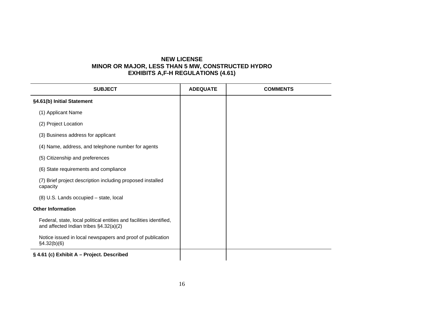### **NEW LICENSE MINOR OR MAJOR, LESS THAN 5 MW, CONSTRUCTED HYDRO EXHIBITS A,F-H REGULATIONS (4.61)**

| <b>SUBJECT</b>                                                                                                | <b>ADEQUATE</b> | <b>COMMENTS</b> |
|---------------------------------------------------------------------------------------------------------------|-----------------|-----------------|
| §4.61(b) Initial Statement                                                                                    |                 |                 |
| (1) Applicant Name                                                                                            |                 |                 |
| (2) Project Location                                                                                          |                 |                 |
| (3) Business address for applicant                                                                            |                 |                 |
| (4) Name, address, and telephone number for agents                                                            |                 |                 |
| (5) Citizenship and preferences                                                                               |                 |                 |
| (6) State requirements and compliance                                                                         |                 |                 |
| (7) Brief project description including proposed installed<br>capacity                                        |                 |                 |
| (8) U.S. Lands occupied - state, local                                                                        |                 |                 |
| <b>Other Information</b>                                                                                      |                 |                 |
| Federal, state, local political entities and facilities identified,<br>and affected Indian tribes §4.32(a)(2) |                 |                 |
| Notice issued in local newspapers and proof of publication<br>§4.32(b)(6)                                     |                 |                 |
| § 4.61 (c) Exhibit A - Project. Described                                                                     |                 |                 |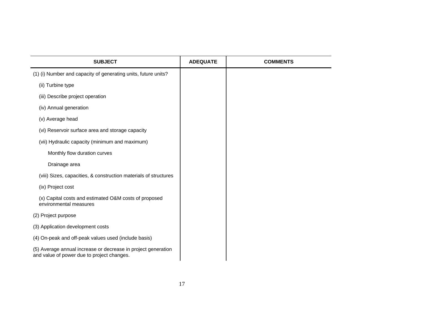| <b>SUBJECT</b>                                                                                              | <b>ADEQUATE</b> | <b>COMMENTS</b> |
|-------------------------------------------------------------------------------------------------------------|-----------------|-----------------|
| (1) (i) Number and capacity of generating units, future units?                                              |                 |                 |
| (ii) Turbine type                                                                                           |                 |                 |
| (iii) Describe project operation                                                                            |                 |                 |
| (iv) Annual generation                                                                                      |                 |                 |
| (v) Average head                                                                                            |                 |                 |
| (vi) Reservoir surface area and storage capacity                                                            |                 |                 |
| (vii) Hydraulic capacity (minimum and maximum)                                                              |                 |                 |
| Monthly flow duration curves                                                                                |                 |                 |
| Drainage area                                                                                               |                 |                 |
| (viii) Sizes, capacities, & construction materials of structures                                            |                 |                 |
| (ix) Project cost                                                                                           |                 |                 |
| (x) Capital costs and estimated O&M costs of proposed<br>environmental measures                             |                 |                 |
| (2) Project purpose                                                                                         |                 |                 |
| (3) Application development costs                                                                           |                 |                 |
| (4) On-peak and off-peak values used (include basis)                                                        |                 |                 |
| (5) Average annual increase or decrease in project generation<br>and value of power due to project changes. |                 |                 |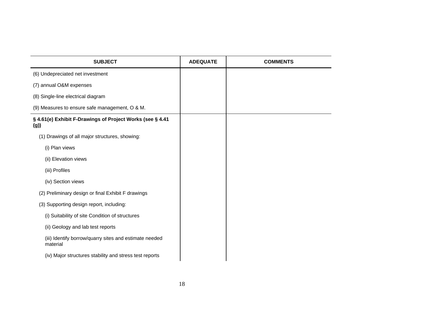| <b>SUBJECT</b>                                                     | <b>ADEQUATE</b> | <b>COMMENTS</b> |
|--------------------------------------------------------------------|-----------------|-----------------|
| (6) Undepreciated net investment                                   |                 |                 |
| (7) annual O&M expenses                                            |                 |                 |
| (8) Single-line electrical diagram                                 |                 |                 |
| (9) Measures to ensure safe management, O & M.                     |                 |                 |
| § 4.61(e) Exhibit F-Drawings of Project Works (see § 4.41<br>(g)   |                 |                 |
| (1) Drawings of all major structures, showing:                     |                 |                 |
| (i) Plan views                                                     |                 |                 |
| (ii) Elevation views                                               |                 |                 |
| (iii) Profiles                                                     |                 |                 |
| (iv) Section views                                                 |                 |                 |
| (2) Preliminary design or final Exhibit F drawings                 |                 |                 |
| (3) Supporting design report, including:                           |                 |                 |
| (i) Suitability of site Condition of structures                    |                 |                 |
| (ii) Geology and lab test reports                                  |                 |                 |
| (iii) Identify borrow/quarry sites and estimate needed<br>material |                 |                 |
| (iv) Major structures stability and stress test reports            |                 |                 |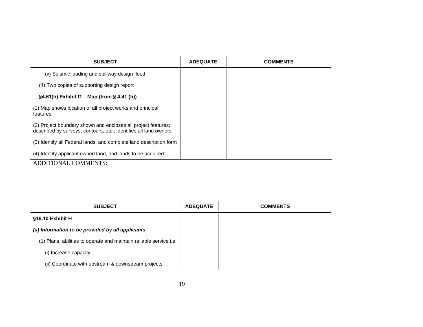| <b>SUBJECT</b>                                                                                                                    | <b>ADEQUATE</b> | <b>COMMENTS</b> |
|-----------------------------------------------------------------------------------------------------------------------------------|-----------------|-----------------|
| (v) Seismic loading and spillway design flood                                                                                     |                 |                 |
| (4) Two copies of supporting design report                                                                                        |                 |                 |
| $§4.61(h)$ Exhibit G – Map (from § 4.41 (h))                                                                                      |                 |                 |
| (1) Map shows location of all project works and principal<br>features                                                             |                 |                 |
| (2) Project boundary shown and encloses all project features;<br>described by surveys, contours, etc.; identifies all land owners |                 |                 |
| (3) Identify all Federal lands, and complete land description form                                                                |                 |                 |
| (4) Identify applicant owned land, and lands to be acquired                                                                       |                 |                 |
| ADDITIONAL COMMENTS:                                                                                                              |                 |                 |

| <b>SUBJECT</b>                                                     | <b>ADEQUATE</b> | <b>COMMENTS</b> |
|--------------------------------------------------------------------|-----------------|-----------------|
| §16.10 Exhibit H                                                   |                 |                 |
| (a) Information to be provided by all applicants                   |                 |                 |
| (1) Plans, abilities to operate and maintain reliable service i.e. |                 |                 |
| (i) Increase capacity                                              |                 |                 |
| (ii) Coordinate with upstream & downstream projects                |                 |                 |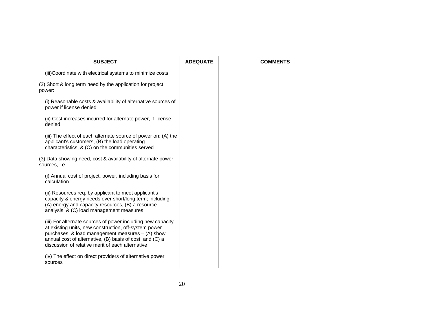| <b>SUBJECT</b>                                                                                                                                                                                                                                                                           | <b>ADEQUATE</b> | <b>COMMENTS</b> |
|------------------------------------------------------------------------------------------------------------------------------------------------------------------------------------------------------------------------------------------------------------------------------------------|-----------------|-----------------|
| (iii)Coordinate with electrical systems to minimize costs                                                                                                                                                                                                                                |                 |                 |
| (2) Short & long term need by the application for project<br>power:                                                                                                                                                                                                                      |                 |                 |
| (i) Reasonable costs & availability of alternative sources of<br>power if license denied                                                                                                                                                                                                 |                 |                 |
| (ii) Cost increases incurred for alternate power, if license<br>denied                                                                                                                                                                                                                   |                 |                 |
| (iii) The effect of each alternate source of power on: (A) the<br>applicant's customers, (B) the load operating<br>characteristics, & (C) on the communities served                                                                                                                      |                 |                 |
| (3) Data showing need, cost & availability of alternate power<br>sources, i.e.                                                                                                                                                                                                           |                 |                 |
| (i) Annual cost of project. power, including basis for<br>calculation                                                                                                                                                                                                                    |                 |                 |
| (ii) Resources req. by applicant to meet applicant's<br>capacity & energy needs over short/long term; including:<br>(A) energy and capacity resources, (B) a resource<br>analysis, & (C) load management measures                                                                        |                 |                 |
| (iii) For alternate sources of power including new capacity<br>at existing units, new construction, off-system power<br>purchases, & load management measures - (A) show<br>annual cost of alternative, (B) basis of cost, and (C) a<br>discussion of relative merit of each alternative |                 |                 |
| (iv) The effect on direct providers of alternative power<br>sources                                                                                                                                                                                                                      |                 |                 |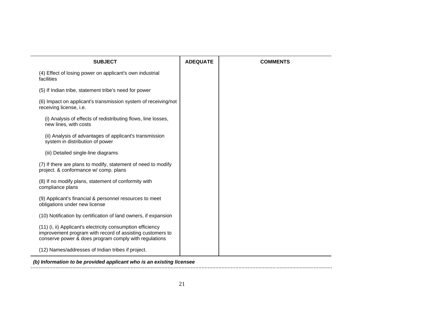| <b>SUBJECT</b>                                                                                                                                                                    | <b>ADEQUATE</b> | <b>COMMENTS</b> |
|-----------------------------------------------------------------------------------------------------------------------------------------------------------------------------------|-----------------|-----------------|
| (4) Effect of losing power on applicant's own industrial<br>facilities                                                                                                            |                 |                 |
| (5) If Indian tribe, statement tribe's need for power                                                                                                                             |                 |                 |
| (6) Impact on applicant's transmission system of receiving/not<br>receiving license, i.e.                                                                                         |                 |                 |
| (i) Analysis of effects of redistributing flows, line losses,<br>new lines, with costs                                                                                            |                 |                 |
| (ii) Analysis of advantages of applicant's transmission<br>system in distribution of power                                                                                        |                 |                 |
| (iii) Detailed single-line diagrams                                                                                                                                               |                 |                 |
| (7) If there are plans to modify, statement of need to modify<br>project. & conformance w/ comp. plans                                                                            |                 |                 |
| (8) If no modify plans, statement of conformity with<br>compliance plans                                                                                                          |                 |                 |
| (9) Applicant's financial & personnel resources to meet<br>obligations under new license                                                                                          |                 |                 |
| (10) Notification by certification of land owners, if expansion                                                                                                                   |                 |                 |
| (11) (i, ii) Applicant's electricity consumption efficiency<br>improvement program with record of assisting customers to<br>conserve power & does program comply with regulations |                 |                 |
| (12) Names/addresses of Indian tribes if project.                                                                                                                                 |                 |                 |

*(b) Information to be provided applicant who is an existing licensee*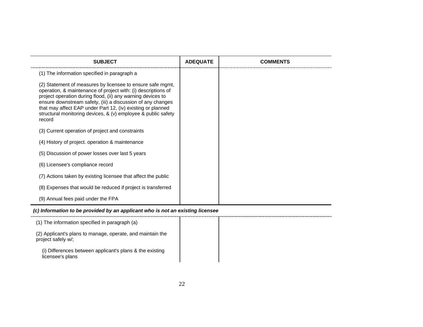| <b>SUBJECT</b>                                                                                                                                                                                                                                                                                                                                                                                      | <b>ADEQUATE</b> | <b>COMMENTS</b> |
|-----------------------------------------------------------------------------------------------------------------------------------------------------------------------------------------------------------------------------------------------------------------------------------------------------------------------------------------------------------------------------------------------------|-----------------|-----------------|
| (1) The information specified in paragraph a                                                                                                                                                                                                                                                                                                                                                        |                 |                 |
| (2) Statement of measures by licensee to ensure safe mgmt,<br>operation, & maintenance of project with: (i) descriptions of<br>project operation during flood, (ii) any warning devices to<br>ensure downstream safety, (iii) a discussion of any changes<br>that may affect EAP under Part 12, (iv) existing or planned<br>structural monitoring devices, & (v) employee & public safety<br>record |                 |                 |
| (3) Current operation of project and constraints                                                                                                                                                                                                                                                                                                                                                    |                 |                 |
| (4) History of project. operation & maintenance                                                                                                                                                                                                                                                                                                                                                     |                 |                 |
| (5) Discussion of power losses over last 5 years                                                                                                                                                                                                                                                                                                                                                    |                 |                 |
| (6) Licensee's compliance record                                                                                                                                                                                                                                                                                                                                                                    |                 |                 |
| (7) Actions taken by existing licensee that affect the public                                                                                                                                                                                                                                                                                                                                       |                 |                 |
| (8) Expenses that would be reduced if project is transferred                                                                                                                                                                                                                                                                                                                                        |                 |                 |
| (9) Annual fees paid under the FPA                                                                                                                                                                                                                                                                                                                                                                  |                 |                 |

#### *(c) Information to be provided by an applicant who is not an existing licensee*

| (1) The information specified in paragraph (a)                                   |  |
|----------------------------------------------------------------------------------|--|
| (2) Applicant's plans to manage, operate, and maintain the<br>project safely w/; |  |
| (i) Differences between applicant's plans & the existing<br>licensee's plans     |  |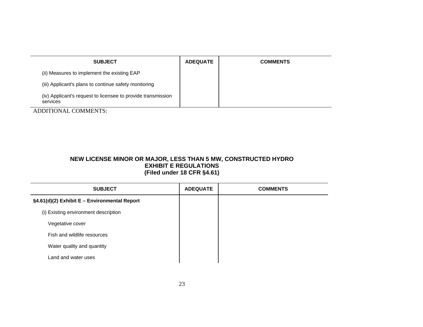| <b>SUBJECT</b>                                                           | <b>ADEQUATE</b> | <b>COMMENTS</b> |
|--------------------------------------------------------------------------|-----------------|-----------------|
| (ii) Measures to implement the existing EAP                              |                 |                 |
| (iii) Applicant's plans to continue safety monitoring                    |                 |                 |
| (iv) Applicant's request to licensee to provide transmission<br>services |                 |                 |

#### **NEW LICENSE MINOR OR MAJOR, LESS THAN 5 MW, CONSTRUCTED HYDRO EXHIBIT E REGULATIONS (Filed under 18 CFR §4.61)**

| <b>SUBJECT</b>                               | <b>ADEQUATE</b> | <b>COMMENTS</b> |
|----------------------------------------------|-----------------|-----------------|
| §4.61(d)(2) Exhibit E - Environmental Report |                 |                 |
| (i) Existing environment description         |                 |                 |
| Vegetative cover                             |                 |                 |
| Fish and wildlife resources                  |                 |                 |
| Water quality and quantity                   |                 |                 |
| Land and water uses                          |                 |                 |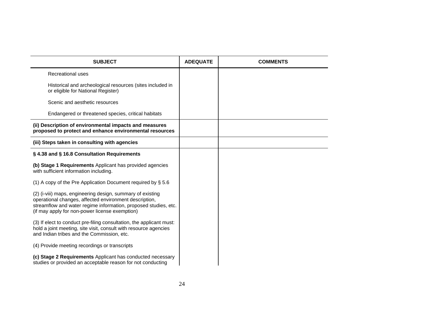| <b>SUBJECT</b>                                                                                                                                                                                                                            | <b>ADEQUATE</b> | <b>COMMENTS</b> |
|-------------------------------------------------------------------------------------------------------------------------------------------------------------------------------------------------------------------------------------------|-----------------|-----------------|
| Recreational uses                                                                                                                                                                                                                         |                 |                 |
| Historical and archeological resources (sites included in<br>or eligible for National Register)                                                                                                                                           |                 |                 |
| Scenic and aesthetic resources                                                                                                                                                                                                            |                 |                 |
| Endangered or threatened species, critical habitats                                                                                                                                                                                       |                 |                 |
| (ii) Description of environmental impacts and measures<br>proposed to protect and enhance environmental resources                                                                                                                         |                 |                 |
| (iii) Steps taken in consulting with agencies                                                                                                                                                                                             |                 |                 |
| § 4.38 and § 16.8 Consultation Requirements                                                                                                                                                                                               |                 |                 |
| (b) Stage 1 Requirements Applicant has provided agencies<br>with sufficient information including.                                                                                                                                        |                 |                 |
| (1) A copy of the Pre Application Document required by § 5.6                                                                                                                                                                              |                 |                 |
| (2) (i-viii) maps, engineering design, summary of existing<br>operational changes, affected environment description,<br>streamflow and water regime information, proposed studies, etc.<br>(if may apply for non-power license exemption) |                 |                 |
| (3) If elect to conduct pre-filing consultation, the applicant must:<br>hold a joint meeting, site visit, consult with resource agencies<br>and Indian tribes and the Commission, etc.                                                    |                 |                 |
| (4) Provide meeting recordings or transcripts                                                                                                                                                                                             |                 |                 |
| (c) Stage 2 Requirements Applicant has conducted necessary<br>studies or provided an acceptable reason for not conducting                                                                                                                 |                 |                 |